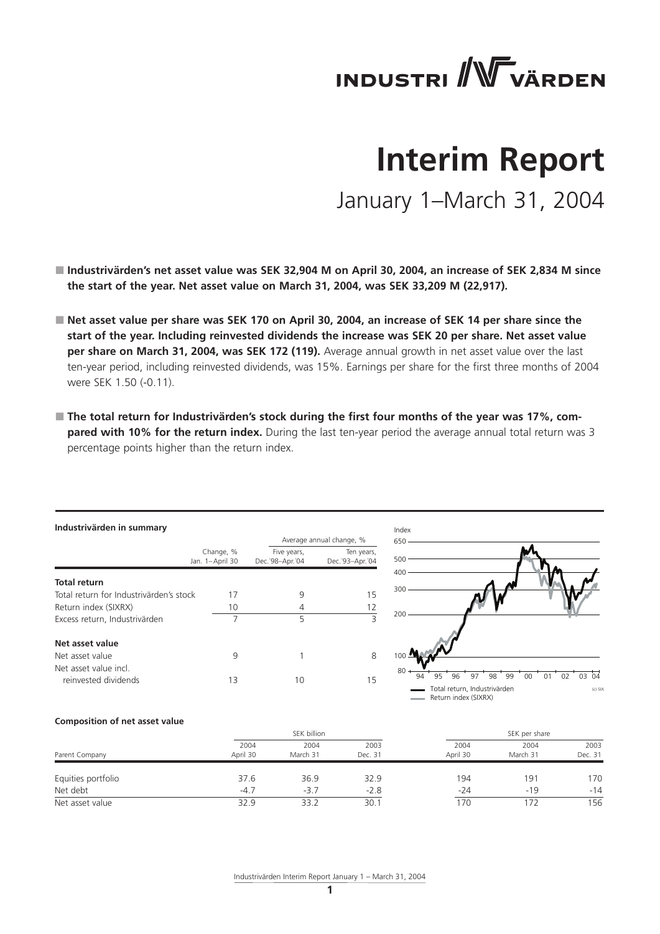# **INDUSTRI WWW VÄRDEN**

# **Interim Report**

January 1–March 31, 2004

- Industrivärden's net asset value was SEK 32,904 M on April 30, 2004, an increase of SEK 2,834 M since **the start of the year. Net asset value on March 31, 2004, was SEK 33,209 M (22,917).**
- Net asset value per share was SEK 170 on April 30, 2004, an increase of SEK 14 per share since the **start of the year. Including reinvested dividends the increase was SEK 20 per share. Net asset value per share on March 31, 2004, was SEK 172 (119).** Average annual growth in net asset value over the last ten-year period, including reinvested dividends, was 15%. Earnings per share for the first three months of 2004 were SEK 1.50 (-0.11).
- The total return for Industrivärden's stock during the first four months of the year was 17%, com**pared with 10% for the return index.** During the last ten-year period the average annual total return was 3 percentage points higher than the return index.

| Industrivärden in summary               |                              |                                                                     |                          |  |  |  |
|-----------------------------------------|------------------------------|---------------------------------------------------------------------|--------------------------|--|--|--|
|                                         |                              |                                                                     | Average annual change, % |  |  |  |
|                                         | Change, %<br>Jan. 1-April 30 | Five years,<br>Ten years,<br>Dec. '98-Apr. '04<br>Dec. '93-Apr. '04 |                          |  |  |  |
| <b>Total return</b>                     |                              |                                                                     |                          |  |  |  |
| Total return for Industrivärden's stock | 17                           | 9                                                                   | 15                       |  |  |  |
| Return index (SIXRX)                    | 10                           | 4                                                                   | 12                       |  |  |  |
| Excess return, Industrivärden           | 7                            | 5                                                                   | 3                        |  |  |  |
| Net asset value                         |                              |                                                                     |                          |  |  |  |
| Net asset value                         | 9                            |                                                                     | 8                        |  |  |  |
| Net asset value incl                    |                              |                                                                     |                          |  |  |  |
| reinvested dividends                    | 13                           | 10                                                                  | 15                       |  |  |  |



#### **Composition of net asset value**

|                    |                  | SEK billion      |                 |                  |                  |                 |
|--------------------|------------------|------------------|-----------------|------------------|------------------|-----------------|
| Parent Company     | 2004<br>April 30 | 2004<br>March 31 | 2003<br>Dec. 31 | 2004<br>April 30 | 2004<br>March 31 | 2003<br>Dec. 31 |
| Equities portfolio | 37.6             | 36.9             | 32.9            | 194              | 191              | 170             |
| Net debt           | $-4.7$           | $-3.7$           | $-2.8$          | $-24$            | $-19$            | $-14$           |
| Net asset value    | 32.9             | 33.2             | 30.1            | 170              |                  | 156             |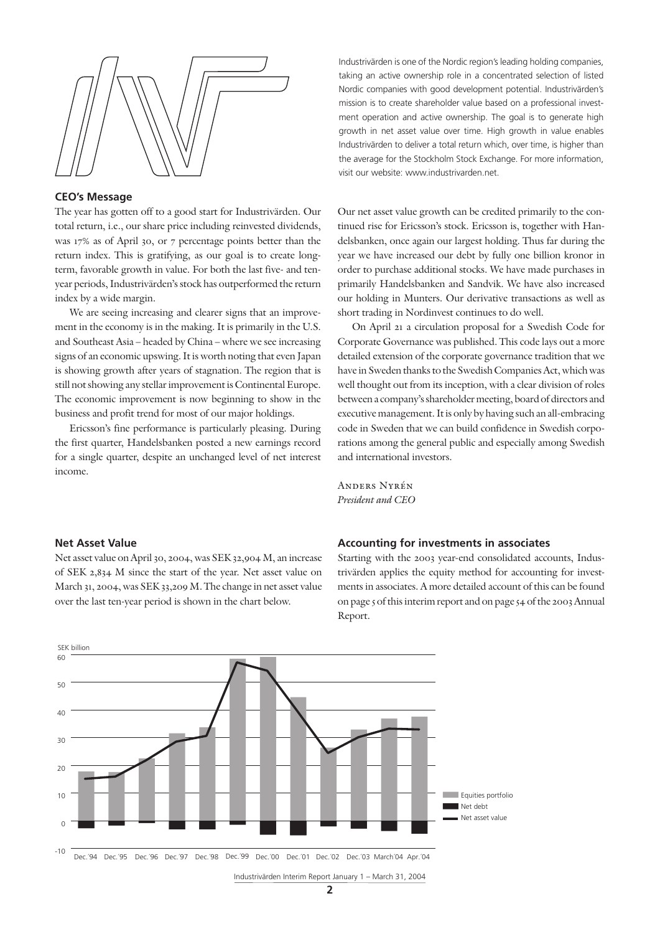

## **CEO's Message**

The year has gotten off to a good start for Industrivärden. Our total return, i.e., our share price including reinvested dividends, was 17% as of April 30, or 7 percentage points better than the return index. This is gratifying, as our goal is to create longterm, favorable growth in value. For both the last five- and tenyear periods, Industrivärden's stock has outperformed the return index by a wide margin.

We are seeing increasing and clearer signs that an improvement in the economy is in the making. It is primarily in the U.S. and Southeast Asia – headed by China – where we see increasing signs of an economic upswing. It is worth noting that even Japan is showing growth after years of stagnation. The region that is still not showing any stellar improvement is Continental Europe. The economic improvement is now beginning to show in the business and profit trend for most of our major holdings.

Ericsson's fine performance is particularly pleasing. During the first quarter, Handelsbanken posted a new earnings record for a single quarter, despite an unchanged level of net interest income.

Industrivärden is one of the Nordic region's leading holding companies, taking an active ownership role in a concentrated selection of listed Nordic companies with good development potential. Industrivärden's mission is to create shareholder value based on a professional investment operation and active ownership. The goal is to generate high growth in net asset value over time. High growth in value enables Industrivärden to deliver a total return which, over time, is higher than the average for the Stockholm Stock Exchange. For more information, visit our website: www.industrivarden.net.

Our net asset value growth can be credited primarily to the continued rise for Ericsson's stock. Ericsson is, together with Handelsbanken, once again our largest holding. Thus far during the year we have increased our debt by fully one billion kronor in order to purchase additional stocks. We have made purchases in primarily Handelsbanken and Sandvik. We have also increased our holding in Munters. Our derivative transactions as well as short trading in Nordinvest continues to do well.

On April 21 a circulation proposal for a Swedish Code for Corporate Governance was published. This code lays out a more detailed extension of the corporate governance tradition that we have in Sweden thanks to the Swedish Companies Act, which was well thought out from its inception, with a clear division of roles between a company's shareholder meeting, board of directors and executive management. It is only by having such an all-embracing code in Sweden that we can build confidence in Swedish corporations among the general public and especially among Swedish and international investors.

Anders Nyrén *President and CEO*

## **Net Asset Value**

Net asset value on April 30, 2004, was SEK 32,904 M, an increase of SEK 2,834 M since the start of the year. Net asset value on March 31, 2004, was SEK 33,209 M. The change in net asset value over the last ten-year period is shown in the chart below.

## **Accounting for investments in associates**

Starting with the 2003 year-end consolidated accounts, Industrivärden applies the equity method for accounting for investments in associates. A more detailed account of this can be found on page 5 of this interim report and on page 54 of the 2003 Annual Report.

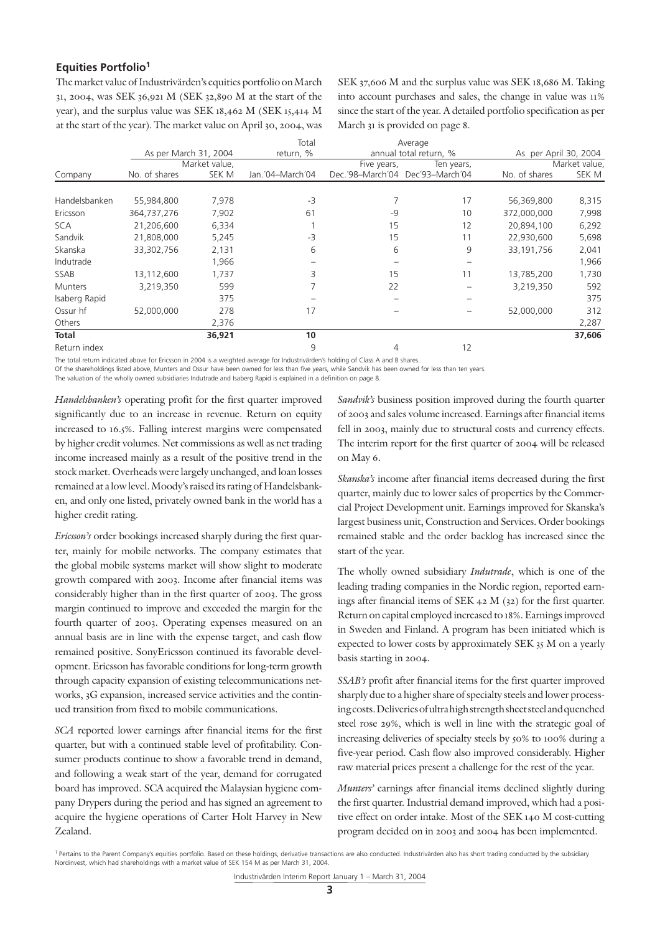## **Equities Portfolio1**

The market value of Industrivärden's equities portfolio on March 31, 2004, was SEK 36,921 M (SEK 32,890 M at the start of the year), and the surplus value was SEK 18,462 M (SEK 15,414 M at the start of the year). The market value on April 30, 2004, was SEK 37,606 M and the surplus value was SEK 18,686 M. Taking into account purchases and sales, the change in value was 11% since the start of the year. A detailed portfolio specification as per March 31 is provided on page 8.

|                |                       |               | Total            |                                  | Average                |                       |               |
|----------------|-----------------------|---------------|------------------|----------------------------------|------------------------|-----------------------|---------------|
|                | As per March 31, 2004 |               | return, %        |                                  | annual total return, % | As per April 30, 2004 |               |
|                |                       | Market value, |                  | Five years,                      | Ten years,             |                       | Market value, |
| Company        | No. of shares         | SEK M         | Jan. 04-March 04 | Dec.'98-March'04 Dec'93-March'04 |                        | No. of shares         | SEK M         |
|                |                       |               |                  |                                  |                        |                       |               |
| Handelsbanken  | 55,984,800            | 7,978         | $-3$             |                                  | 17                     | 56,369,800            | 8,315         |
| Ericsson       | 364,737,276           | 7,902         | 61               | -9                               | 10                     | 372,000,000           | 7,998         |
| <b>SCA</b>     | 21,206,600            | 6,334         |                  | 15                               | 12                     | 20,894,100            | 6,292         |
| Sandvik        | 21,808,000            | 5,245         | $-3$             | 15                               | 11                     | 22,930,600            | 5,698         |
| Skanska        | 33,302,756            | 2,131         | 6                | 6                                | 9                      | 33,191,756            | 2,041         |
| Indutrade      |                       | 1,966         |                  |                                  |                        |                       | 1,966         |
| SSAB           | 13,112,600            | 1,737         | 3                | 15                               | 11                     | 13,785,200            | 1,730         |
| <b>Munters</b> | 3,219,350             | 599           |                  | 22                               |                        | 3,219,350             | 592           |
| Isaberg Rapid  |                       | 375           |                  |                                  |                        |                       | 375           |
| Ossur hf       | 52,000,000            | 278           | 17               |                                  |                        | 52,000,000            | 312           |
| Others         |                       | 2,376         |                  |                                  |                        |                       | 2,287         |
| Total          |                       | 36,921        | 10               |                                  |                        |                       | 37,606        |
| Return index   |                       |               | 9                | 4                                | 12                     |                       |               |

The total return indicated above for Ericsson in 2004 is a weighted average for Industrivärden's holding of Class A and B shares.

Of the shareholdings listed above, Munters and Ossur have been owned for less than five years, while Sandvik has been owned for less than ten years.

The valuation of the wholly owned subsidiaries Indutrade and Isaberg Rapid is explained in a definition on page 8.

*Handelsbanken's* operating profit for the first quarter improved significantly due to an increase in revenue. Return on equity increased to 16.5%. Falling interest margins were compensated by higher credit volumes. Net commissions as well as net trading income increased mainly as a result of the positive trend in the stock market. Overheads were largely unchanged, and loan losses remained at a low level. Moody's raised its rating of Handelsbanken, and only one listed, privately owned bank in the world has a higher credit rating.

*Ericsson's* order bookings increased sharply during the first quarter, mainly for mobile networks. The company estimates that the global mobile systems market will show slight to moderate growth compared with 2003. Income after financial items was considerably higher than in the first quarter of 2003. The gross margin continued to improve and exceeded the margin for the fourth quarter of 2003. Operating expenses measured on an annual basis are in line with the expense target, and cash flow remained positive. SonyEricsson continued its favorable development. Ericsson has favorable conditions for long-term growth through capacity expansion of existing telecommunications networks, 3G expansion, increased service activities and the continued transition from fixed to mobile communications.

*SCA* reported lower earnings after financial items for the first quarter, but with a continued stable level of profitability. Consumer products continue to show a favorable trend in demand, and following a weak start of the year, demand for corrugated board has improved. SCA acquired the Malaysian hygiene company Drypers during the period and has signed an agreement to acquire the hygiene operations of Carter Holt Harvey in New Zealand.

*Sandvik's* business position improved during the fourth quarter of 2003 and sales volume increased. Earnings after financial items fell in 2003, mainly due to structural costs and currency effects. The interim report for the first quarter of 2004 will be released on May 6.

*Skanska's* income after financial items decreased during the first quarter, mainly due to lower sales of properties by the Commercial Project Development unit. Earnings improved for Skanska's largest business unit, Construction and Services. Order bookings remained stable and the order backlog has increased since the start of the year.

The wholly owned subsidiary *Indutrade*, which is one of the leading trading companies in the Nordic region, reported earnings after financial items of SEK 42 M (32) for the first quarter. Return on capital employed increased to 18%. Earnings improved in Sweden and Finland. A program has been initiated which is expected to lower costs by approximately SEK 35 M on a yearly basis starting in 2004.

*SSAB's* profit after financial items for the first quarter improved sharply due to a higher share of specialty steels and lower processing costs. Deliveries of ultra high strength sheet steel and quenched steel rose 29%, which is well in line with the strategic goal of increasing deliveries of specialty steels by 50% to 100% during a five-year period. Cash flow also improved considerably. Higher raw material prices present a challenge for the rest of the year.

*Munters'* earnings after financial items declined slightly during the first quarter. Industrial demand improved, which had a positive effect on order intake. Most of the SEK 140 M cost-cutting program decided on in 2003 and 2004 has been implemented.

<sup>&</sup>lt;sup>1</sup> Pertains to the Parent Company's equities portfolio. Based on these holdings, derivative transactions are also conducted. Industrivärden also has short trading conducted by the subsidiary Nordinvest, which had shareholdings with a market value of SEK 154 M as per March 31, 2004.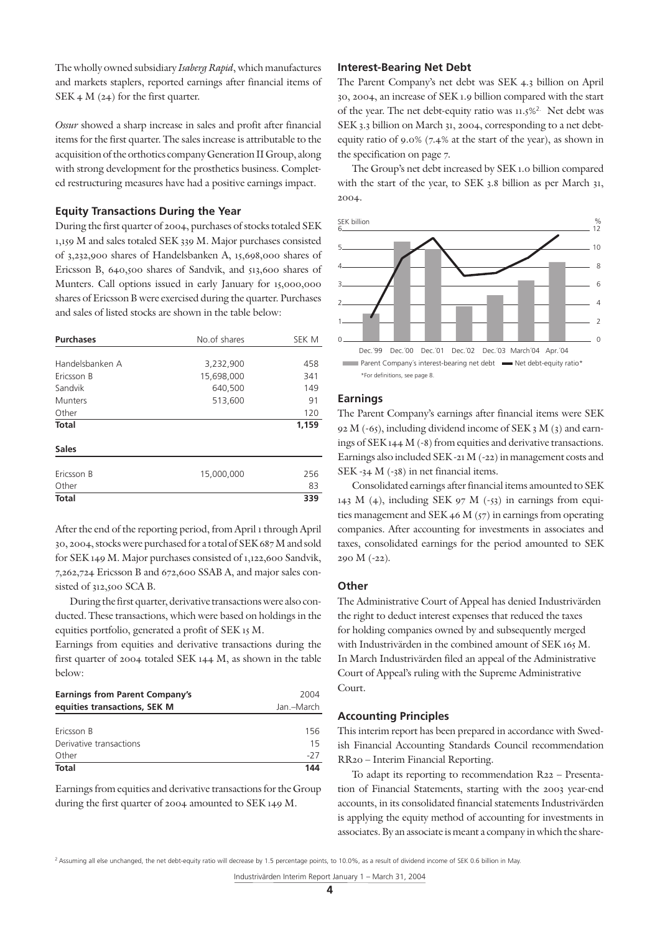The wholly owned subsidiary *Isaberg Rapid*, which manufactures and markets staplers, reported earnings after financial items of SEK 4 M (24) for the first quarter.

*Ossur* showed a sharp increase in sales and profit after financial items for the first quarter. The sales increase is attributable to the acquisition of the orthotics company Generation II Group, along with strong development for the prosthetics business. Completed restructuring measures have had a positive earnings impact.

## **Equity Transactions During the Year**

During the first quarter of 2004, purchases of stocks totaled SEK 1,159 M and sales totaled SEK 339 M. Major purchases consisted of 3,232,900 shares of Handelsbanken A, 15,698,000 shares of Ericsson B, 640,500 shares of Sandvik, and 513,600 shares of Munters. Call options issued in early January for 15,000,000 shares of Ericsson B were exercised during the quarter. Purchases and sales of listed stocks are shown in the table below:

| <b>Purchases</b> | No.of shares | SEK M |
|------------------|--------------|-------|
|                  |              |       |
| Handelsbanken A  | 3,232,900    | 458   |
| Ericsson B       | 15,698,000   | 341   |
| Sandvik          | 640,500      | 149   |
| <b>Munters</b>   | 513,600      | 91    |
| Other            |              | 120   |
| <b>Total</b>     |              | 1,159 |
|                  |              |       |
| <b>Sales</b>     |              |       |
|                  |              |       |
| Ericsson B       | 15,000,000   | 256   |
| Other            |              | 83    |
| <b>Total</b>     |              | 339   |

After the end of the reporting period, from April 1 through April 30, 2004, stocks were purchased for a total of SEK 687 M and sold for SEK 149 M. Major purchases consisted of 1,122,600 Sandvik, 7,262,724 Ericsson B and 672,600 SSAB A, and major sales consisted of 312,500 SCA B.

During the first quarter, derivative transactions were also conducted. These transactions, which were based on holdings in the equities portfolio, generated a profit of SEK 15 M.

Earnings from equities and derivative transactions during the first quarter of 2004 totaled SEK 144 M, as shown in the table below:

| <b>Earnings from Parent Company's</b> | 2004       |
|---------------------------------------|------------|
| equities transactions, SEK M          | Jan.-March |
|                                       |            |
| Ericsson B                            | 156        |
| Derivative transactions               | 15         |
| Other                                 | $-27$      |
| <b>Total</b>                          | 144        |

Earnings from equities and derivative transactions for the Group during the first quarter of 2004 amounted to SEK 149 M.

### **Interest-Bearing Net Debt**

The Parent Company's net debt was SEK 4.3 billion on April 30, 2004, an increase of SEK 1.9 billion compared with the start of the year. The net debt-equity ratio was 11.5%2. Net debt was SEK 3.3 billion on March 31, 2004, corresponding to a net debtequity ratio of 9.0% (7.4% at the start of the year), as shown in the specification on page 7.

The Group's net debt increased by SEK 1.0 billion compared with the start of the year, to SEK 3.8 billion as per March 31, 2004.



## **Earnings**

The Parent Company's earnings after financial items were SEK 92 M (-65), including dividend income of SEK 3 M (3) and earnings of SEK 144 M (-8) from equities and derivative transactions. Earnings also included SEK -21 M (-22) in management costs and SEK -34 M (-38) in net financial items.

Consolidated earnings after financial items amounted to SEK 12 143 M (4), including SEK 97 M (-53) in earnings from equities management and SEK 46 M  $(57)$  in earnings from operating companies. After accounting for investments in associates and taxes, consolidated earnings for the period amounted to SEK 4 290 M (-22). 2

### **Other** 0

The Administrative Court of Appeal has denied Industrivärden the right to deduct interest expenses that reduced the taxes for holding companies owned by and subsequently merged with Industrivärden in the combined amount of SEK 165 M. In March Industrivärden filed an appeal of the Administrative Court of Appeal's ruling with the Supreme Administrative Court. \*Definitioner framgår av sidan 8.

## **Accounting Principles**

This interim report has been prepared in accordance with Swedish Financial Accounting Standards Council recommendation RR20 – Interim Financial Reporting.

To adapt its reporting to recommendation R22 – Presentation of Financial Statements, starting with the 2003 year-end accounts, in its consolidated financial statements Industrivärden is applying the equity method of accounting for investments in associates. By an associate is meant a company in which the share-

<sup>&</sup>lt;sup>2</sup> Assuming all else unchanged, the net debt-equity ratio will decrease by 1.5 percentage points, to 10.0%, as a result of dividend income of SEK 0.6 billion in May.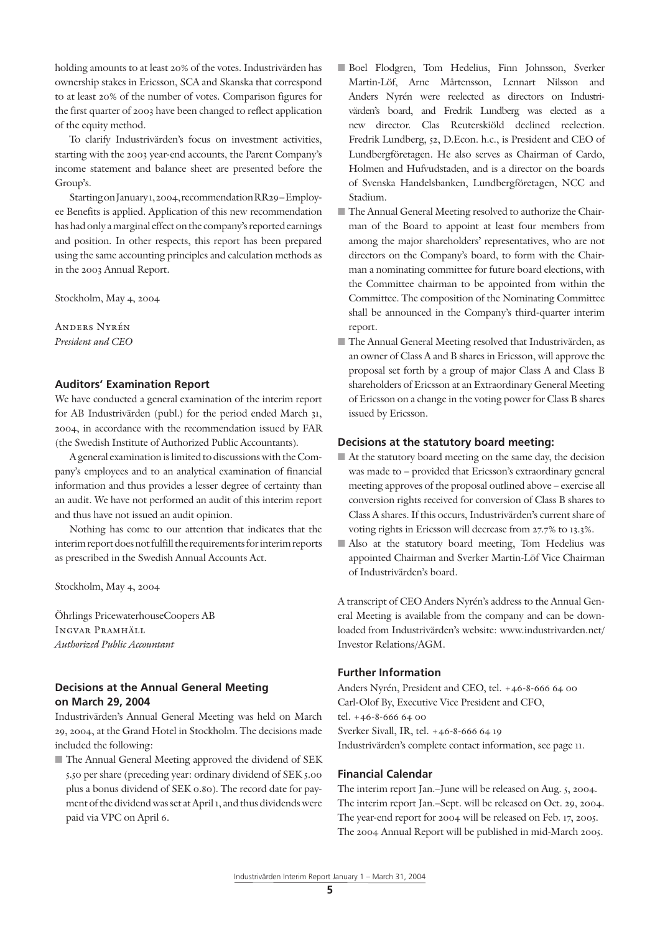holding amounts to at least 20% of the votes. Industrivärden has ownership stakes in Ericsson, SCA and Skanska that correspond to at least 20% of the number of votes. Comparison figures for the first quarter of 2003 have been changed to reflect application of the equity method.

To clarify Industrivärden's focus on investment activities, starting with the 2003 year-end accounts, the Parent Company's income statement and balance sheet are presented before the Group's.

Starting on January 1, 2004, recommendation RR29 – Employee Benefits is applied. Application of this new recommendation has had only a marginal effect on the company's reported earnings and position. In other respects, this report has been prepared using the same accounting principles and calculation methods as in the 2003 Annual Report.

Stockholm, May 4, 2004

Anders Nyrén *President and CEO*

## **Auditors' Examination Report**

We have conducted a general examination of the interim report for AB Industrivärden (publ.) for the period ended March 31, 2004, in accordance with the recommendation issued by FAR (the Swedish Institute of Authorized Public Accountants).

A general examination is limited to discussions with the Company's employees and to an analytical examination of financial information and thus provides a lesser degree of certainty than an audit. We have not performed an audit of this interim report and thus have not issued an audit opinion.

Nothing has come to our attention that indicates that the interim report does not fulfill the requirements for interim reports as prescribed in the Swedish Annual Accounts Act.

Stockholm, May 4, 2004

Öhrlings PricewaterhouseCoopers AB Ingvar Pramhäll *Authorized Public Accountant*

# **Decisions at the Annual General Meeting on March 29, 2004**

Industrivärden's Annual General Meeting was held on March 29, 2004, at the Grand Hotel in Stockholm. The decisions made included the following:

■ The Annual General Meeting approved the dividend of SEK 5.50 per share (preceding year: ordinary dividend of SEK 5.00 plus a bonus dividend of SEK 0.80). The record date for payment of the dividend was set at April 1, and thus dividends were paid via VPC on April 6.

- Boel Flodgren, Tom Hedelius, Finn Johnsson, Sverker Martin-Löf, Arne Mårtensson, Lennart Nilsson and Anders Nyrén were reelected as directors on Industrivärden's board, and Fredrik Lundberg was elected as a new director. Clas Reuterskiöld declined reelection. Fredrik Lundberg, 52, D.Econ. h.c., is President and CEO of Lundbergföretagen. He also serves as Chairman of Cardo, Holmen and Hufvudstaden, and is a director on the boards of Svenska Handelsbanken, Lundbergföretagen, NCC and Stadium.
- The Annual General Meeting resolved to authorize the Chairman of the Board to appoint at least four members from among the major shareholders' representatives, who are not directors on the Company's board, to form with the Chairman a nominating committee for future board elections, with the Committee chairman to be appointed from within the Committee. The composition of the Nominating Committee shall be announced in the Company's third-quarter interim report.
- The Annual General Meeting resolved that Industrivärden, as an owner of Class A and B shares in Ericsson, will approve the proposal set forth by a group of major Class A and Class B shareholders of Ericsson at an Extraordinary General Meeting of Ericsson on a change in the voting power for Class B shares issued by Ericsson.

## **Decisions at the statutory board meeting:**

- At the statutory board meeting on the same day, the decision was made to – provided that Ericsson's extraordinary general meeting approves of the proposal outlined above – exercise all conversion rights received for conversion of Class B shares to Class A shares. If this occurs, Industrivärden's current share of voting rights in Ericsson will decrease from 27.7% to 13.3%.
- Also at the statutory board meeting, Tom Hedelius was appointed Chairman and Sverker Martin-Löf Vice Chairman of Industrivärden's board.

A transcript of CEO Anders Nyrén's address to the Annual General Meeting is available from the company and can be downloaded from Industrivärden's website: www.industrivarden.net/ Investor Relations/AGM.

## **Further Information**

Anders Nyrén, President and CEO, tel. +46-8-666 64 00 Carl-Olof By, Executive Vice President and CFO, tel. +46-8-666 64 00 Sverker Sivall, IR, tel. +46-8-666 64 19 Industrivärden's complete contact information, see page 11.

## **Financial Calendar**

The interim report Jan.–June will be released on Aug. 5, 2004. The interim report Jan.–Sept. will be released on Oct. 29, 2004. The year-end report for 2004 will be released on Feb. 17, 2005. The 2004 Annual Report will be published in mid-March 2005.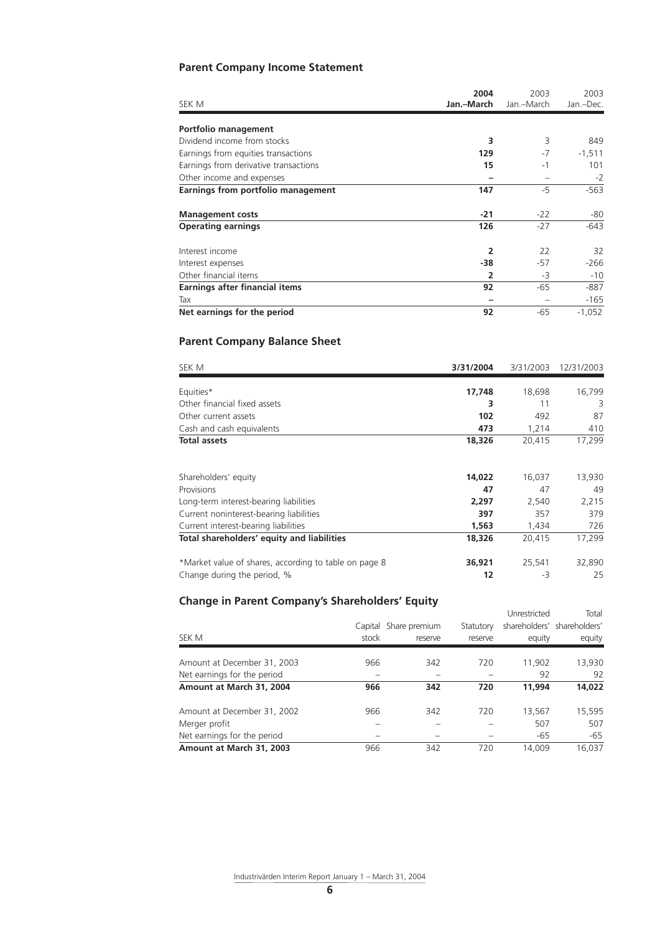# **Parent Company Income Statement**

|                                       | 2004           | 2003       | 2003      |  |
|---------------------------------------|----------------|------------|-----------|--|
| SEK M                                 | Jan.-March     | Jan.-March | Jan.-Dec. |  |
| Portfolio management                  |                |            |           |  |
| Dividend income from stocks           | 3              | 3          | 849       |  |
| Earnings from equities transactions   | 129            | $-7$       | $-1,511$  |  |
| Earnings from derivative transactions | 15             | $-1$       | 101       |  |
| Other income and expenses             |                |            | $-2$      |  |
| Earnings from portfolio management    | 147            | $-5$       | $-563$    |  |
| <b>Management costs</b>               | $-21$          | $-22$      | -80       |  |
| <b>Operating earnings</b>             | 126            | $-27$      | $-643$    |  |
| Interest income                       | $\overline{2}$ | 22         | 32        |  |
| Interest expenses                     | -38            | $-57$      | $-266$    |  |
| Other financial items                 | 2              | -3         | $-10$     |  |
| <b>Earnings after financial items</b> | 92             | $-65$      | $-887$    |  |
| Tax                                   |                |            | $-165$    |  |
| Net earnings for the period           | 92             | $-65$      | $-1,052$  |  |

# **Parent Company Balance Sheet**

| SEK M                                                 | 3/31/2004 | 3/31/2003 | 12/31/2003 |
|-------------------------------------------------------|-----------|-----------|------------|
|                                                       |           |           |            |
| Equities*                                             | 17,748    | 18,698    | 16,799     |
| Other financial fixed assets                          | 3         | 11        | 3          |
| Other current assets                                  | 102       | 492       | 87         |
| Cash and cash equivalents                             | 473       | 1,214     | 410        |
| <b>Total assets</b>                                   | 18,326    | 20,415    | 17,299     |
|                                                       |           |           |            |
| Shareholders' equity                                  | 14,022    | 16,037    | 13,930     |
| Provisions                                            | 47        | 47        | 49         |
| Long-term interest-bearing liabilities                | 2,297     | 2,540     | 2,215      |
| Current noninterest-bearing liabilities               | 397       | 357       | 379        |
| Current interest-bearing liabilities                  | 1,563     | 1,434     | 726        |
| Total shareholders' equity and liabilities            | 18,326    | 20,415    | 17,299     |
| *Market value of shares, according to table on page 8 | 36,921    | 25,541    | 32,890     |
| Change during the period, %                           | 12        | -3        | 25         |

# **Change in Parent Company's Shareholders' Equity**

|                             |         |               |           | Unrestricted | Total                       |
|-----------------------------|---------|---------------|-----------|--------------|-----------------------------|
|                             | Capital | Share premium | Statutory |              | shareholders' shareholders' |
| SEK M                       | stock   | reserve       | reserve   | equity       | equity                      |
| Amount at December 31, 2003 | 966     | 342           | 720       | 11,902       | 13,930                      |
| Net earnings for the period |         |               |           | 92           | 92                          |
| Amount at March 31, 2004    | 966     | 342           | 720       | 11,994       | 14,022                      |
| Amount at December 31, 2002 | 966     | 342           | 720       | 13,567       | 15,595                      |
| Merger profit               |         |               |           | 507          | 507                         |
| Net earnings for the period |         |               |           | $-65$        | $-65$                       |
| Amount at March 31, 2003    | 966     | 342           | 720       | 14.009       | 16.037                      |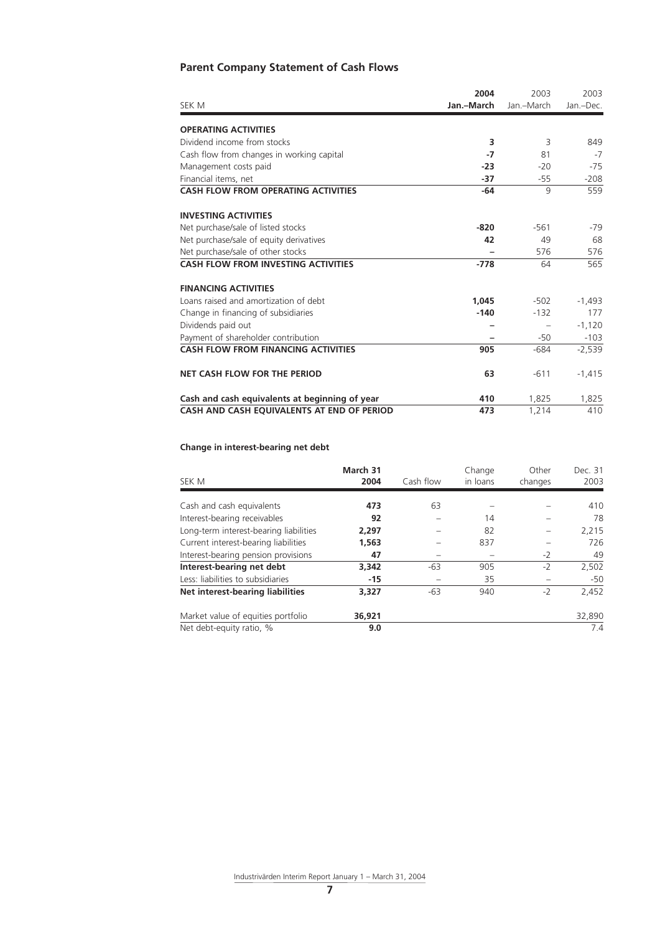# **Parent Company Statement of Cash Flows**

|                                                | 2004       | 2003       | 2003      |
|------------------------------------------------|------------|------------|-----------|
| SEK M                                          | Jan.-March | Jan.-March | Jan.-Dec. |
| <b>OPERATING ACTIVITIES</b>                    |            |            |           |
| Dividend income from stocks                    | 3          | 3          | 849       |
| Cash flow from changes in working capital      | -7         | 81         | $-7$      |
| Management costs paid                          | $-23$      | $-20$      | $-75$     |
| Financial items, net                           | -37        | -55        | $-208$    |
| <b>CASH FLOW FROM OPERATING ACTIVITIES</b>     | $-64$      | 9          | 559       |
| <b>INVESTING ACTIVITIES</b>                    |            |            |           |
| Net purchase/sale of listed stocks             | $-820$     | $-561$     | -79       |
| Net purchase/sale of equity derivatives        | 42         | 49         | 68        |
| Net purchase/sale of other stocks              |            | 576        | 576       |
| <b>CASH FLOW FROM INVESTING ACTIVITIES</b>     | $-778$     | 64         | 565       |
| <b>FINANCING ACTIVITIES</b>                    |            |            |           |
| Loans raised and amortization of debt          | 1,045      | $-502$     | $-1,493$  |
| Change in financing of subsidiaries            | $-140$     | $-132$     | 177       |
| Dividends paid out                             |            |            | $-1.120$  |
| Payment of shareholder contribution            |            | $-50$      | $-103$    |
| <b>CASH FLOW FROM FINANCING ACTIVITIES</b>     | 905        | $-684$     | $-2,539$  |
| <b>NET CASH FLOW FOR THE PERIOD</b>            | 63         | $-611$     | $-1,415$  |
| Cash and cash equivalents at beginning of year | 410        | 1,825      | 1,825     |
| CASH AND CASH EQUIVALENTS AT END OF PERIOD     | 473        | 1,214      | 410       |

## **Change in interest-bearing net debt**

| SEK M                                  | March 31<br>2004 | Cash flow | Change<br>in loans | Other<br>changes | Dec. 31<br>2003 |
|----------------------------------------|------------------|-----------|--------------------|------------------|-----------------|
|                                        |                  |           |                    |                  |                 |
| Cash and cash equivalents              | 473              | 63        |                    |                  | 410             |
| Interest-bearing receivables           | 92               |           | 14                 |                  | 78              |
| Long-term interest-bearing liabilities | 2,297            |           | 82                 |                  | 2,215           |
| Current interest-bearing liabilities   | 1,563            |           | 837                |                  | 726             |
| Interest-bearing pension provisions    | 47               |           |                    | $-2$             | 49              |
| Interest-bearing net debt              | 3,342            | -63       | 905                | $-2$             | 2,502           |
| Less: liabilities to subsidiaries      | $-15$            |           | 35                 |                  | $-50$           |
| Net interest-bearing liabilities       | 3,327            | $-63$     | 940                | $-2$             | 2,452           |
| Market value of equities portfolio     | 36,921           |           |                    |                  | 32,890          |
| Net debt-equity ratio, %               | 9.0              |           |                    |                  | 7.4             |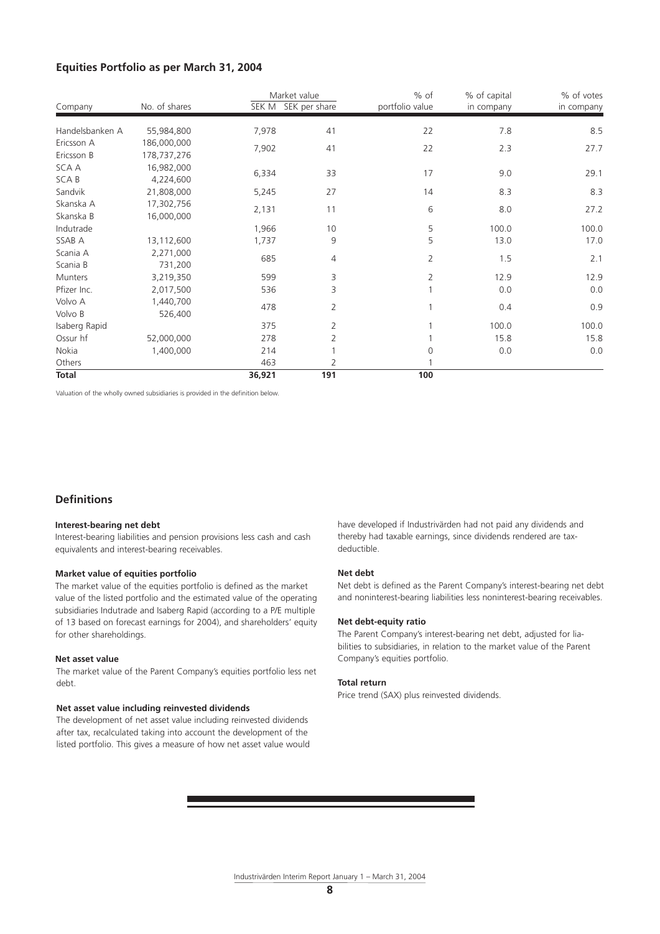## **Equities Portfolio as per March 31, 2004**

| Company         | No. of shares | Market value<br>SEK M | SEK per share  | $%$ of<br>portfolio value | % of capital<br>in company | % of votes<br>in company |
|-----------------|---------------|-----------------------|----------------|---------------------------|----------------------------|--------------------------|
| Handelsbanken A | 55,984,800    | 7,978                 | 41             | 22                        | 7.8                        | 8.5                      |
| Ericsson A      | 186,000,000   | 7,902                 | 41             | 22                        | 2.3                        | 27.7                     |
| Ericsson B      | 178,737,276   |                       |                |                           |                            |                          |
| SCA A           | 16,982,000    | 6,334                 | 33             | 17                        | 9.0                        | 29.1                     |
| <b>SCAB</b>     | 4,224,600     |                       |                |                           |                            |                          |
| Sandvik         | 21,808,000    | 5,245                 | 27             | 14                        | 8.3                        | 8.3                      |
| Skanska A       | 17,302,756    | 2,131                 | 11             | 6                         | 8.0                        | 27.2                     |
| Skanska B       | 16,000,000    |                       |                |                           |                            |                          |
| Indutrade       |               | 1,966                 | 10             | 5                         | 100.0                      | 100.0                    |
| SSAB A          | 13,112,600    | 1,737                 | 9              | 5                         | 13.0                       | 17.0                     |
| Scania A        | 2,271,000     | 685                   | 4              | 2                         | 1.5                        | 2.1                      |
| Scania B        | 731,200       |                       |                |                           |                            |                          |
| Munters         | 3,219,350     | 599                   | 3              | 2                         | 12.9                       | 12.9                     |
| Pfizer Inc.     | 2,017,500     | 536                   | 3              |                           | 0.0                        | 0.0                      |
| Volvo A         | 1,440,700     | 478                   | $\overline{2}$ | 1                         | 0.4                        | 0.9                      |
| Volvo B         | 526,400       |                       |                |                           |                            |                          |
| Isaberg Rapid   |               | 375                   | 2              |                           | 100.0                      | 100.0                    |
| Ossur hf        | 52,000,000    | 278                   | 2              |                           | 15.8                       | 15.8                     |
| Nokia           | 1,400,000     | 214                   |                | 0                         | 0.0                        | 0.0                      |
| Others          |               | 463                   | 2              |                           |                            |                          |
| <b>Total</b>    |               | 36,921                | 191            | 100                       |                            |                          |

Valuation of the wholly owned subsidiaries is provided in the definition below.

## **Definitions**

#### **Interest-bearing net debt**

Interest-bearing liabilities and pension provisions less cash and cash equivalents and interest-bearing receivables.

#### **Market value of equities portfolio**

The market value of the equities portfolio is defined as the market value of the listed portfolio and the estimated value of the operating subsidiaries Indutrade and Isaberg Rapid (according to a P/E multiple of 13 based on forecast earnings for 2004), and shareholders' equity for other shareholdings.

#### **Net asset value**

The market value of the Parent Company's equities portfolio less net debt.

## **Net asset value including reinvested dividends**

The development of net asset value including reinvested dividends after tax, recalculated taking into account the development of the listed portfolio. This gives a measure of how net asset value would have developed if Industrivärden had not paid any dividends and thereby had taxable earnings, since dividends rendered are taxdeductible.

#### **Net debt**

Net debt is defined as the Parent Company's interest-bearing net debt and noninterest-bearing liabilities less noninterest-bearing receivables.

#### **Net debt-equity ratio**

The Parent Company's interest-bearing net debt, adjusted for liabilities to subsidiaries, in relation to the market value of the Parent Company's equities portfolio.

#### **Total return**

Price trend (SAX) plus reinvested dividends.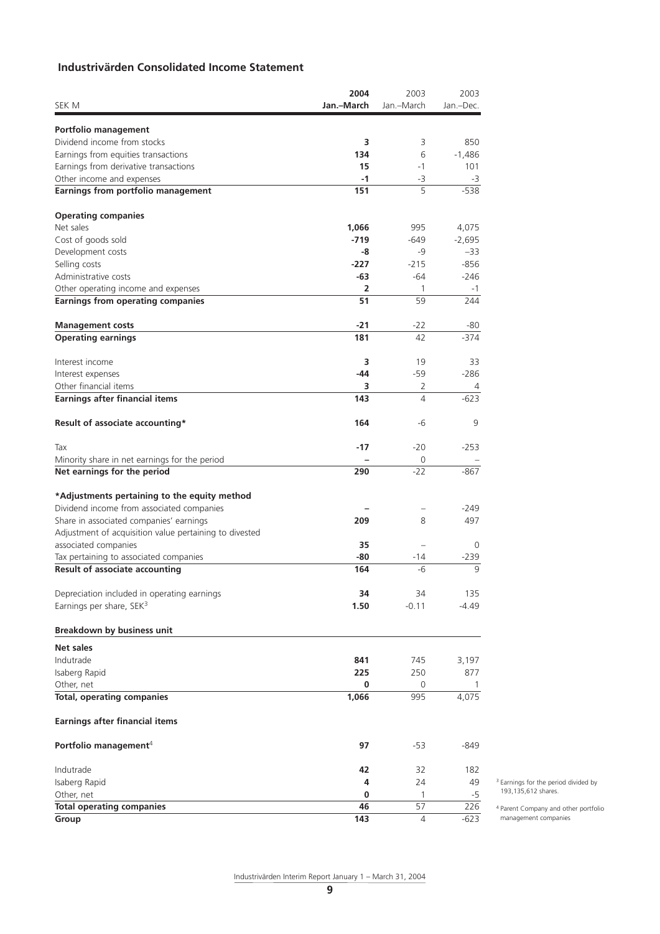# **Industrivärden Consolidated Income Statement**

|                                                                                     | 2004         | 2003                     | 2003          |                                        |
|-------------------------------------------------------------------------------------|--------------|--------------------------|---------------|----------------------------------------|
| SEK M                                                                               | Jan.-March   | Jan.-March               | Jan.-Dec.     |                                        |
|                                                                                     |              |                          |               |                                        |
| Portfolio management<br>Dividend income from stocks                                 | з            | 3                        | 850           |                                        |
| Earnings from equities transactions                                                 | 134          | 6                        | $-1,486$      |                                        |
| Earnings from derivative transactions                                               | 15           | $-1$                     | 101           |                                        |
| Other income and expenses                                                           | $-1$         | $-3$                     | $-3$          |                                        |
| Earnings from portfolio management                                                  | 151          | 5                        | $-538$        |                                        |
|                                                                                     |              |                          |               |                                        |
| <b>Operating companies</b><br>Net sales                                             | 1,066        | 995                      | 4,075         |                                        |
| Cost of goods sold                                                                  | $-719$       | $-649$                   | $-2,695$      |                                        |
| Development costs                                                                   | -8           | -9                       | $-33$         |                                        |
| Selling costs                                                                       | $-227$       | $-215$                   | $-856$        |                                        |
| Administrative costs                                                                | -63          | -64                      | $-246$        |                                        |
| Other operating income and expenses                                                 | 2            | $\mathbf{1}$             | -1            |                                        |
| <b>Earnings from operating companies</b>                                            | 51           | 59                       | 244           |                                        |
|                                                                                     |              |                          |               |                                        |
| <b>Management costs</b><br><b>Operating earnings</b>                                | $-21$<br>181 | $-22$<br>42              | -80<br>$-374$ |                                        |
|                                                                                     |              |                          |               |                                        |
| Interest income                                                                     | 3            | 19                       | 33            |                                        |
| Interest expenses<br>Other financial items                                          | -44<br>3     | $-59$<br>2               | $-286$<br>4   |                                        |
| <b>Earnings after financial items</b>                                               | 143          | $\overline{4}$           | $-623$        |                                        |
|                                                                                     |              |                          |               |                                        |
| Result of associate accounting*                                                     | 164          | -6                       | 9             |                                        |
| Tax                                                                                 | $-17$        | $-20$                    | $-253$        |                                        |
| Minority share in net earnings for the period                                       |              | 0                        |               |                                        |
| Net earnings for the period                                                         | 290          | $-22$                    | $-867$        |                                        |
| *Adjustments pertaining to the equity method                                        |              |                          |               |                                        |
| Dividend income from associated companies                                           |              |                          | $-249$        |                                        |
| Share in associated companies' earnings                                             | 209          | 8                        | 497           |                                        |
| Adjustment of acquisition value pertaining to divested                              |              |                          |               |                                        |
| associated companies                                                                | 35           | $\overline{\phantom{0}}$ | 0             |                                        |
| Tax pertaining to associated companies                                              | -80          | -14                      | $-239$        |                                        |
| <b>Result of associate accounting</b>                                               | 164          | -6                       | 9             |                                        |
|                                                                                     | 34           | 34                       | 135           |                                        |
| Depreciation included in operating earnings<br>Earnings per share, SEK <sup>3</sup> | 1.50         | $-0.11$                  | $-4.49$       |                                        |
|                                                                                     |              |                          |               |                                        |
| <b>Breakdown by business unit</b>                                                   |              |                          |               |                                        |
| Net sales                                                                           |              |                          |               |                                        |
| Indutrade                                                                           | 841          | 745                      | 3,197         |                                        |
| Isaberg Rapid                                                                       | 225          | 250                      | 877           |                                        |
| Other, net<br><b>Total, operating companies</b>                                     | 0<br>1,066   | 0<br>995                 | 1<br>4,075    |                                        |
|                                                                                     |              |                          |               |                                        |
| <b>Earnings after financial items</b>                                               |              |                          |               |                                        |
| Portfolio management <sup>4</sup>                                                   | 97           | -53                      | -849          |                                        |
| Indutrade                                                                           | 42           | 32                       | 182           |                                        |
| Isaberg Rapid                                                                       | 4            | 24                       | 49            | <sup>3</sup> Earnings for the period d |
| Other, net                                                                          | 0            | 1                        | $-5$          | 193,135,612 shares.                    |
| <b>Total operating companies</b>                                                    | 46           | 57                       | 226           | <sup>4</sup> Parent Company and oth    |
| Group                                                                               | 143          | 4                        | $-623$        | management companies                   |

3 Earnings for the period divided by 193,135,612 shares.

4 Parent Company and other portfolio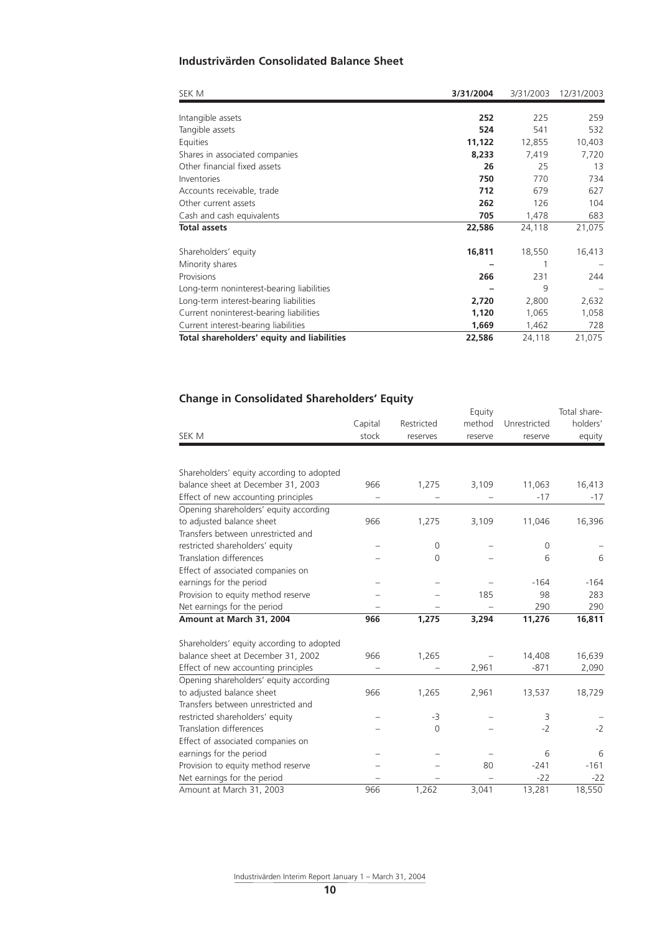# **Industrivärden Consolidated Balance Sheet**

| SEK M                                      | 3/31/2004 | 3/31/2003 | 12/31/2003 |
|--------------------------------------------|-----------|-----------|------------|
|                                            |           |           |            |
| Intangible assets                          | 252       | 225       | 259        |
| Tangible assets                            | 524       | 541       | 532        |
| Equities                                   | 11,122    | 12,855    | 10,403     |
| Shares in associated companies             | 8,233     | 7,419     | 7,720      |
| Other financial fixed assets               | 26        | 25        | 13         |
| Inventories                                | 750       | 770       | 734        |
| Accounts receivable, trade                 | 712       | 679       | 627        |
| Other current assets                       | 262       | 126       | 104        |
| Cash and cash equivalents                  | 705       | 1,478     | 683        |
| <b>Total assets</b>                        | 22,586    | 24,118    | 21,075     |
| Shareholders' equity                       | 16,811    | 18,550    | 16,413     |
| Minority shares                            |           |           |            |
| Provisions                                 | 266       | 231       | 244        |
| Long-term noninterest-bearing liabilities  |           | 9         |            |
| Long-term interest-bearing liabilities     | 2,720     | 2,800     | 2,632      |
| Current noninterest-bearing liabilities    | 1,120     | 1,065     | 1,058      |
| Current interest-bearing liabilities       | 1,669     | 1,462     | 728        |
| Total shareholders' equity and liabilities | 22,586    | 24,118    | 21,075     |

# **Change in Consolidated Shareholders' Equity**

| SEK M                                     | Capital<br>stock | Restricted<br>reserves | Equity<br>method<br>reserve | Unrestricted<br>reserve | Total share-<br>holders'<br>equity |
|-------------------------------------------|------------------|------------------------|-----------------------------|-------------------------|------------------------------------|
|                                           |                  |                        |                             |                         |                                    |
| Shareholders' equity according to adopted |                  |                        |                             |                         |                                    |
| balance sheet at December 31, 2003        | 966              | 1,275                  | 3,109                       | 11,063                  | 16,413                             |
| Effect of new accounting principles       |                  |                        |                             | $-17$                   | $-17$                              |
| Opening shareholders' equity according    |                  |                        |                             |                         |                                    |
| to adjusted balance sheet                 | 966              | 1,275                  | 3,109                       | 11,046                  | 16,396                             |
| Transfers between unrestricted and        |                  |                        |                             |                         |                                    |
| restricted shareholders' equity           |                  | 0                      |                             | $\mathbf 0$             |                                    |
| Translation differences                   |                  | $\Omega$               |                             | 6                       | 6                                  |
| Effect of associated companies on         |                  |                        |                             |                         |                                    |
| earnings for the period                   |                  |                        |                             | $-164$                  | $-164$                             |
| Provision to equity method reserve        |                  |                        | 185                         | 98                      | 283                                |
| Net earnings for the period               |                  |                        |                             | 290                     | 290                                |
| Amount at March 31, 2004                  | 966              | 1,275                  | 3,294                       | 11,276                  | 16,811                             |
| Shareholders' equity according to adopted |                  |                        |                             |                         |                                    |
| balance sheet at December 31, 2002        | 966              | 1,265                  |                             | 14,408                  | 16,639                             |
| Effect of new accounting principles       |                  |                        | 2,961                       | $-871$                  | 2,090                              |
| Opening shareholders' equity according    |                  |                        |                             |                         |                                    |
| to adjusted balance sheet                 | 966              | 1,265                  | 2,961                       | 13,537                  | 18,729                             |
| Transfers between unrestricted and        |                  |                        |                             |                         |                                    |
| restricted shareholders' equity           |                  | -3                     |                             | 3                       |                                    |
| Translation differences                   |                  | $\overline{0}$         |                             | $-2$                    | $-2$                               |
| Effect of associated companies on         |                  |                        |                             |                         |                                    |
| earnings for the period                   |                  |                        |                             | 6                       | 6                                  |
| Provision to equity method reserve        |                  |                        | 80                          | $-241$                  | $-161$                             |
| Net earnings for the period               |                  |                        |                             | $-22$                   | $-22$                              |
| Amount at March 31, 2003                  | 966              | 1,262                  | 3,041                       | 13,281                  | 18,550                             |